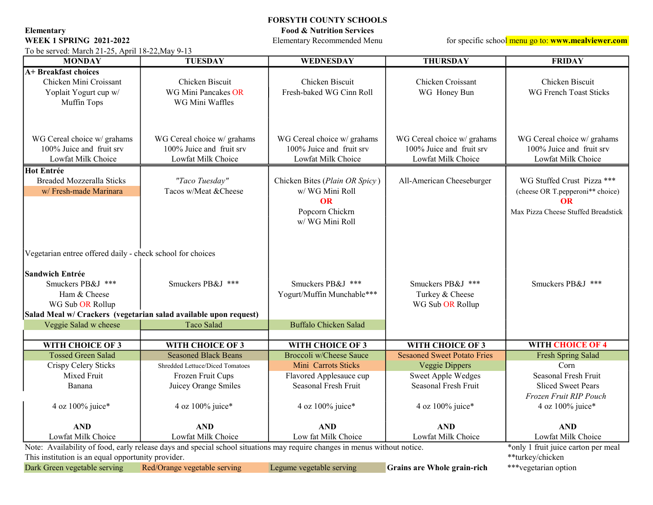Elementary Food & Nutrition Services<br>WEEK 1 SPRING 2021-2022 Elementary Recommended Menu

To be served: March 21-25, April 18-22,May 9-13

FORSYTH COUNTY SCHOOLS

for specific school menu go to: www.mealviewer.com

| <b>MONDAY</b>                                                                                                                                                                                                   | <b>TUESDAY</b>                                                                                              | WEDNESDAY                                                                                            | <b>THURSDAY</b>                                                                                           | <b>FRIDAY</b>                                                                                                      |
|-----------------------------------------------------------------------------------------------------------------------------------------------------------------------------------------------------------------|-------------------------------------------------------------------------------------------------------------|------------------------------------------------------------------------------------------------------|-----------------------------------------------------------------------------------------------------------|--------------------------------------------------------------------------------------------------------------------|
| A+ Breakfast choices<br>Chicken Mini Croissant<br>Yoplait Yogurt cup w/<br>Muffin Tops                                                                                                                          | Chicken Biscuit<br>WG Mini Pancakes OR<br>WG Mini Waffles                                                   | Chicken Biscuit<br>Fresh-baked WG Cinn Roll                                                          | Chicken Croissant<br>WG Honey Bun                                                                         | Chicken Biscuit<br><b>WG French Toast Sticks</b>                                                                   |
| WG Cereal choice w/ grahams<br>100% Juice and fruit srv<br>Lowfat Milk Choice                                                                                                                                   | WG Cereal choice w/ grahams<br>100% Juice and fruit srv<br>Lowfat Milk Choice                               | WG Cereal choice w/ grahams<br>100% Juice and fruit srv<br>Lowfat Milk Choice                        | WG Cereal choice w/ grahams<br>100% Juice and fruit srv<br>Lowfat Milk Choice                             | WG Cereal choice w/ grahams<br>100% Juice and fruit srv<br>Lowfat Milk Choice                                      |
| <b>Hot Entrée</b><br><b>Breaded Mozzeralla Sticks</b><br>w/ Fresh-made Marinara                                                                                                                                 | "Taco Tuesday"<br>Tacos w/Meat & Cheese                                                                     | Chicken Bites (Plain OR Spicy)<br>w/ WG Mini Roll<br><b>OR</b><br>Popcorn Chickrn<br>w/ WG Mini Roll | All-American Cheeseburger                                                                                 | WG Stuffed Crust Pizza ***<br>(cheese OR T.pepperoni** choice)<br><b>OR</b><br>Max Pizza Cheese Stuffed Breadstick |
| Vegetarian entree offered daily - check school for choices<br><b>Sandwich Entrée</b><br>Smuckers PB&J ***<br>Ham & Cheese<br>WG Sub OR Rollup                                                                   | Smuckers PB&J ***<br>Salad Meal w/ Crackers (vegetarian salad available upon request)                       | Smuckers PB&J ***<br>Yogurt/Muffin Munchable***<br><b>Buffalo Chicken Salad</b>                      | Smuckers PB&J ***<br>Turkey & Cheese<br>WG Sub OR Rollup                                                  | Smuckers PB&J ***                                                                                                  |
| Veggie Salad w cheese                                                                                                                                                                                           | Taco Salad                                                                                                  |                                                                                                      |                                                                                                           |                                                                                                                    |
| WITH CHOICE OF 3                                                                                                                                                                                                | WITH CHOICE OF 3                                                                                            | WITH CHOICE OF 3                                                                                     | WITH CHOICE OF 3                                                                                          | <b>WITH CHOICE OF 4</b>                                                                                            |
| <b>Tossed Green Salad</b><br>Crispy Celery Sticks<br>Mixed Fruit<br>Banana                                                                                                                                      | <b>Seasoned Black Beans</b><br>Shredded Lettuce/Diced Tomatoes<br>Frozen Fruit Cups<br>Juicey Orange Smiles | Broccoli w/Cheese Sauce<br>Mini Carrots Sticks<br>Flavored Applesauce cup<br>Seasonal Fresh Fruit    | <b>Sesaoned Sweet Potato Fries</b><br>Veggie Dippers<br><b>Sweet Apple Wedges</b><br>Seasonal Fresh Fruit | <b>Fresh Spring Salad</b><br>Corn<br>Seasonal Fresh Fruit<br><b>Sliced Sweet Pears</b>                             |
| 4 oz 100% juice*                                                                                                                                                                                                | 4 oz 100% juice*                                                                                            | 4 oz 100% juice*                                                                                     | 4 oz 100% juice*                                                                                          | Frozen Fruit RIP Pouch<br>4 oz 100% juice*                                                                         |
| <b>AND</b><br>Lowfat Milk Choice                                                                                                                                                                                | <b>AND</b><br>Lowfat Milk Choice                                                                            | <b>AND</b><br>Low fat Milk Choice                                                                    | <b>AND</b><br>Lowfat Milk Choice                                                                          | <b>AND</b><br>Lowfat Milk Choice                                                                                   |
| Note: Availability of food, early release days and special school situations may require changes in menus without notice.<br>This institution is an equal opportunity provider.<br>Dark Green vegetable serving | *only 1 fruit juice carton per meal<br>**turkey/chicken<br>***vegetarian option                             |                                                                                                      |                                                                                                           |                                                                                                                    |
|                                                                                                                                                                                                                 | Red/Orange vegetable serving                                                                                | Legume vegetable serving                                                                             | Grains are Whole grain-rich                                                                               |                                                                                                                    |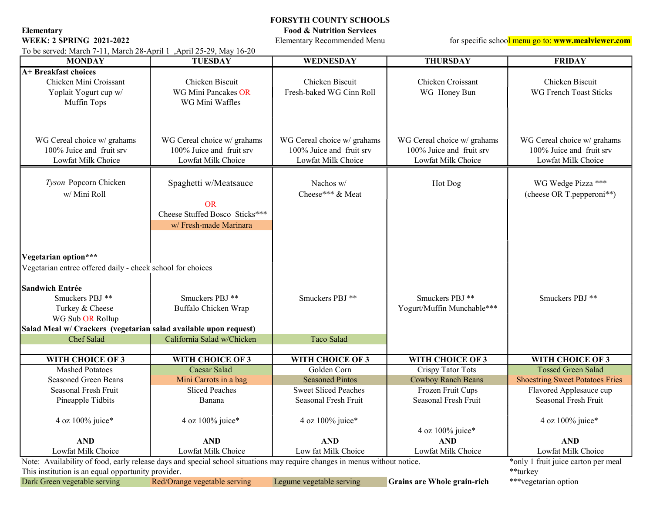Elementary Food & Nutrition Services<br>WEEK: 2 SPRING 2021-2022 Elementary Recommended Mer

FORSYTH COUNTY SCHOOLS

Elementary Recommended Menu for specific school menu go to: www.mealviewer.com

| To be served: March 7-11, March 28-April 1, April 25-29, May 16-20                                                                                                                                                                         |                                                                                                |                                                                               |                                                                               |                                                                               |  |  |  |
|--------------------------------------------------------------------------------------------------------------------------------------------------------------------------------------------------------------------------------------------|------------------------------------------------------------------------------------------------|-------------------------------------------------------------------------------|-------------------------------------------------------------------------------|-------------------------------------------------------------------------------|--|--|--|
| <b>MONDAY</b>                                                                                                                                                                                                                              | <b>TUESDAY</b>                                                                                 | <b>WEDNESDAY</b>                                                              | <b>THURSDAY</b>                                                               | <b>FRIDAY</b>                                                                 |  |  |  |
| A+ Breakfast choices<br>Chicken Mini Croissant<br>Yoplait Yogurt cup w/<br>Muffin Tops                                                                                                                                                     | Chicken Biscuit<br>WG Mini Pancakes OR<br>WG Mini Waffles                                      | Chicken Biscuit<br>Fresh-baked WG Cinn Roll                                   | Chicken Croissant<br>WG Honey Bun                                             | Chicken Biscuit<br><b>WG French Toast Sticks</b>                              |  |  |  |
| WG Cereal choice w/ grahams<br>100% Juice and fruit srv<br>Lowfat Milk Choice                                                                                                                                                              | WG Cereal choice w/ grahams<br>100% Juice and fruit srv<br>Lowfat Milk Choice                  | WG Cereal choice w/ grahams<br>100% Juice and fruit srv<br>Lowfat Milk Choice | WG Cereal choice w/ grahams<br>100% Juice and fruit srv<br>Lowfat Milk Choice | WG Cereal choice w/ grahams<br>100% Juice and fruit srv<br>Lowfat Milk Choice |  |  |  |
| Tyson Popcorn Chicken<br>w/ Mini Roll                                                                                                                                                                                                      | Spaghetti w/Meatsauce<br><b>OR</b><br>Cheese Stuffed Bosco Sticks***<br>w/ Fresh-made Marinara | Nachos w/<br>Cheese*** & Meat                                                 | Hot Dog                                                                       | WG Wedge Pizza ***<br>(cheese OR T.pepperoni**)                               |  |  |  |
| Vegetarian option***<br>Vegetarian entree offered daily - check school for choices<br><b>Sandwich Entrée</b><br>Smuckers PBJ **<br>Turkey & Cheese<br>WG Sub OR Rollup<br>Salad Meal w/ Crackers (vegetarian salad available upon request) | Smuckers PBJ **<br>Buffalo Chicken Wrap                                                        | Smuckers PBJ **                                                               | Smuckers PBJ **<br>Yogurt/Muffin Munchable***                                 | Smuckers PBJ **                                                               |  |  |  |
| Chef Salad                                                                                                                                                                                                                                 | California Salad w/Chicken                                                                     | Taco Salad                                                                    |                                                                               |                                                                               |  |  |  |
|                                                                                                                                                                                                                                            |                                                                                                |                                                                               |                                                                               |                                                                               |  |  |  |
| WITH CHOICE OF 3                                                                                                                                                                                                                           | WITH CHOICE OF 3                                                                               | WITH CHOICE OF 3                                                              | WITH CHOICE OF 3                                                              | WITH CHOICE OF 3                                                              |  |  |  |
| <b>Mashed Potatoes</b>                                                                                                                                                                                                                     | Caesar Salad                                                                                   | Golden Corn                                                                   | Crispy Tator Tots                                                             | <b>Tossed Green Salad</b>                                                     |  |  |  |
| <b>Seasoned Green Beans</b>                                                                                                                                                                                                                | Mini Carrots in a bag                                                                          | <b>Seasoned Pintos</b>                                                        | Cowboy Ranch Beans                                                            | <b>Shoestring Sweet Potatoes Fries</b>                                        |  |  |  |
| Seasonal Fresh Fruit                                                                                                                                                                                                                       | <b>Sliced Peaches</b>                                                                          | <b>Sweet Sliced Peaches</b>                                                   | Frozen Fruit Cups                                                             | Flavored Applesauce cup                                                       |  |  |  |
| Pineapple Tidbits                                                                                                                                                                                                                          | Banana                                                                                         | Seasonal Fresh Fruit                                                          | Seasonal Fresh Fruit                                                          | Seasonal Fresh Fruit                                                          |  |  |  |
| 4 oz 100% juice*                                                                                                                                                                                                                           | 4 oz 100% juice*                                                                               | 4 oz $100\%$ juice*                                                           | 4 oz 100% juice*                                                              | 4 oz 100% juice*                                                              |  |  |  |
| <b>AND</b>                                                                                                                                                                                                                                 | <b>AND</b>                                                                                     | <b>AND</b>                                                                    | <b>AND</b>                                                                    | <b>AND</b>                                                                    |  |  |  |
| Lowfat Milk Choice                                                                                                                                                                                                                         | Lowfat Milk Choice                                                                             | Low fat Milk Choice                                                           | Lowfat Milk Choice                                                            | Lowfat Milk Choice                                                            |  |  |  |
| Note: Availability of food, early release days and special school situations may require changes in menus without notice.<br>*only 1 fruit juice carton per meal                                                                           |                                                                                                |                                                                               |                                                                               |                                                                               |  |  |  |
| This institution is an equal opportunity provider.<br>**turkey                                                                                                                                                                             |                                                                                                |                                                                               |                                                                               |                                                                               |  |  |  |
| Dark Green vegetable serving                                                                                                                                                                                                               | Red/Orange vegetable serving                                                                   | Legume vegetable serving                                                      | Grains are Whole grain-rich                                                   | ***vegetarian option                                                          |  |  |  |